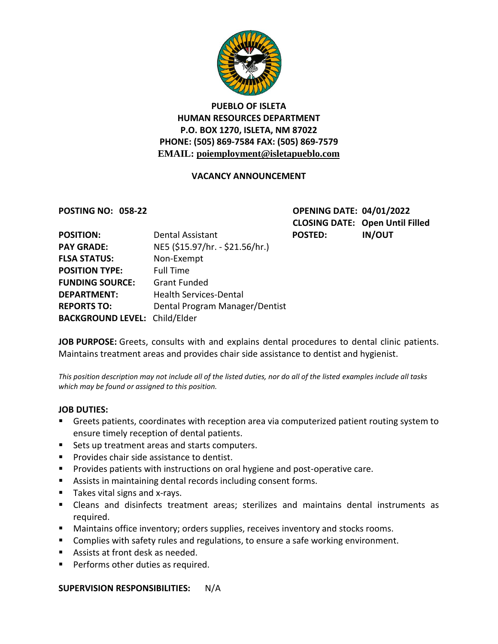

### **PUEBLO OF ISLETA HUMAN RESOURCES DEPARTMENT P.O. BOX 1270, ISLETA, NM 87022 PHONE: (505) 869-7584 FAX: (505) 869-7579 EMAIL: poiemployment@isletapueblo.com**

#### **VACANCY ANNOUNCEMENT**

**POSTING NO: 058-22 OPENING DATE: 04/01/2022 CLOSING DATE: Open Until Filled** POSTED: IN/OUT

| <b>POSITION:</b>                     | Dental Assistant                |
|--------------------------------------|---------------------------------|
| <b>PAY GRADE:</b>                    | NE5 (\$15.97/hr. - \$21.56/hr.) |
| <b>FLSA STATUS:</b>                  | Non-Exempt                      |
| <b>POSITION TYPE:</b>                | <b>Full Time</b>                |
| <b>FUNDING SOURCE:</b>               | <b>Grant Funded</b>             |
| <b>DEPARTMENT:</b>                   | <b>Health Services-Dental</b>   |
| <b>REPORTS TO:</b>                   | Dental Program Manager/Dentist  |
| <b>BACKGROUND LEVEL: Child/Elder</b> |                                 |

**JOB PURPOSE:** Greets, consults with and explains dental procedures to dental clinic patients. Maintains treatment areas and provides chair side assistance to dentist and hygienist.

*This position description may not include all of the listed duties, nor do all of the listed examples include all tasks which may be found or assigned to this position.*

#### **JOB DUTIES:**

- Greets patients, coordinates with reception area via computerized patient routing system to ensure timely reception of dental patients.
- **Sets up treatment areas and starts computers.**
- **Provides chair side assistance to dentist.**
- **Provides patients with instructions on oral hygiene and post-operative care.**
- Assists in maintaining dental records including consent forms.
- $\blacksquare$  Takes vital signs and x-rays.
- Cleans and disinfects treatment areas; sterilizes and maintains dental instruments as required.
- **Maintains office inventory; orders supplies, receives inventory and stocks rooms.**
- **Complies with safety rules and regulations, to ensure a safe working environment.**
- Assists at front desk as needed.
- **Performs other duties as required.**

**SUPERVISION RESPONSIBILITIES:** N/A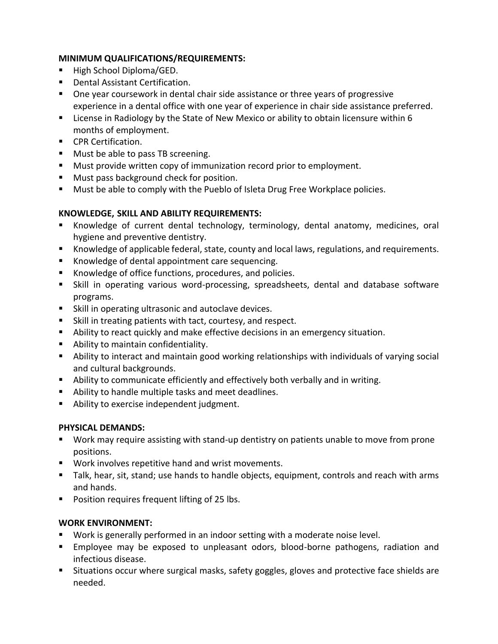#### **MINIMUM QUALIFICATIONS/REQUIREMENTS:**

- High School Diploma/GED.
- **•** Dental Assistant Certification.
- One year coursework in dental chair side assistance or three years of progressive experience in a dental office with one year of experience in chair side assistance preferred.
- **EXED** License in Radiology by the State of New Mexico or ability to obtain licensure within 6 months of employment.
- **CPR Certification.**
- **Must be able to pass TB screening.**
- **Must provide written copy of immunization record prior to employment.**
- **Must pass background check for position.**
- **Must be able to comply with the Pueblo of Isleta Drug Free Workplace policies.**

#### **KNOWLEDGE, SKILL AND ABILITY REQUIREMENTS:**

- Knowledge of current dental technology, terminology, dental anatomy, medicines, oral hygiene and preventive dentistry.
- Knowledge of applicable federal, state, county and local laws, regulations, and requirements.
- Knowledge of dental appointment care sequencing.
- Knowledge of office functions, procedures, and policies.
- Skill in operating various word-processing, spreadsheets, dental and database software programs.
- Skill in operating ultrasonic and autoclave devices.
- Skill in treating patients with tact, courtesy, and respect.
- Ability to react quickly and make effective decisions in an emergency situation.
- **Ability to maintain confidentiality.**
- Ability to interact and maintain good working relationships with individuals of varying social and cultural backgrounds.
- Ability to communicate efficiently and effectively both verbally and in writing.
- Ability to handle multiple tasks and meet deadlines.
- **Ability to exercise independent judgment.**

#### **PHYSICAL DEMANDS:**

- Work may require assisting with stand-up dentistry on patients unable to move from prone positions.
- Work involves repetitive hand and wrist movements.
- Talk, hear, sit, stand; use hands to handle objects, equipment, controls and reach with arms and hands.
- **Position requires frequent lifting of 25 lbs.**

# **WORK ENVIRONMENT:**

- Work is generally performed in an indoor setting with a moderate noise level.
- Employee may be exposed to unpleasant odors, blood-borne pathogens, radiation and infectious disease.
- **Situations occur where surgical masks, safety goggles, gloves and protective face shields are** needed.